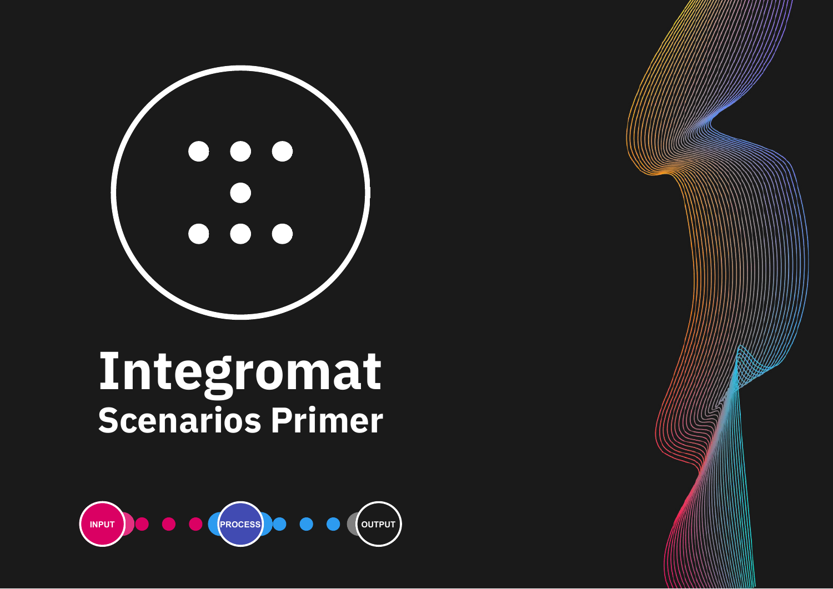

# **Scenarios Primer Integromat**



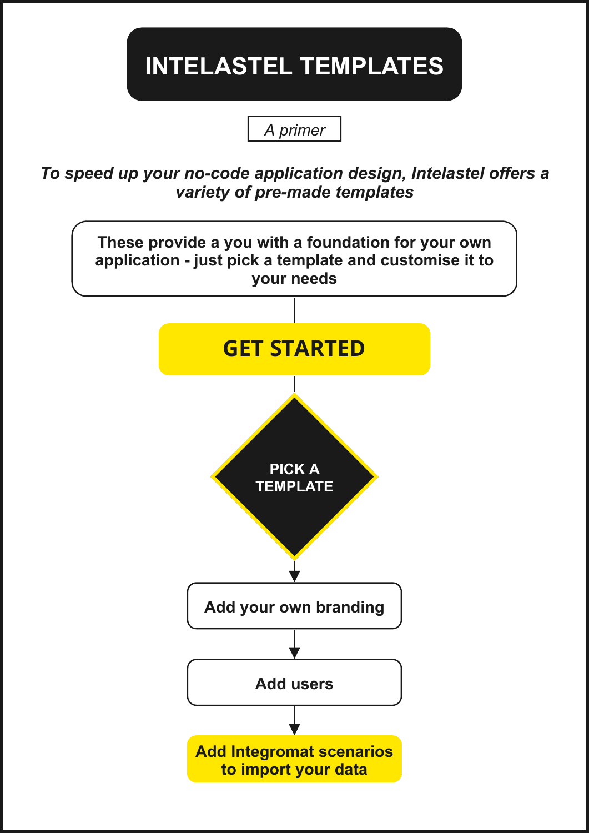### **INTELASTEL TEMPLATES**

*A primer*

*To speed up your no-code application design, Intelastel offers a variety of pre-made templates*

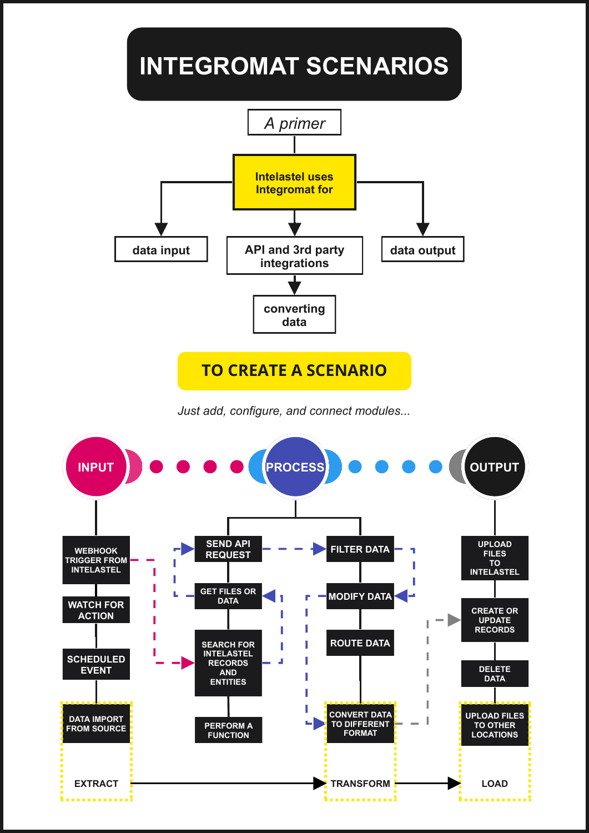

*Just add, configure, and connect modules...*

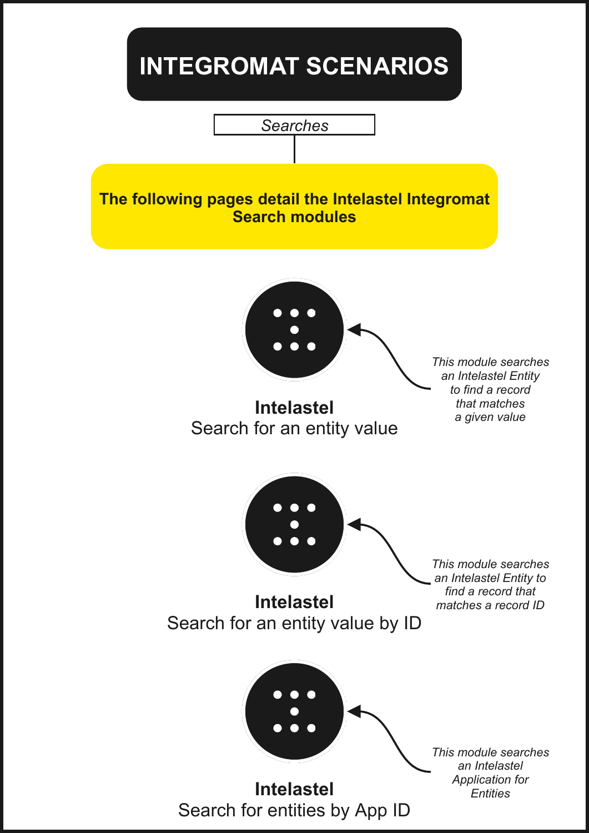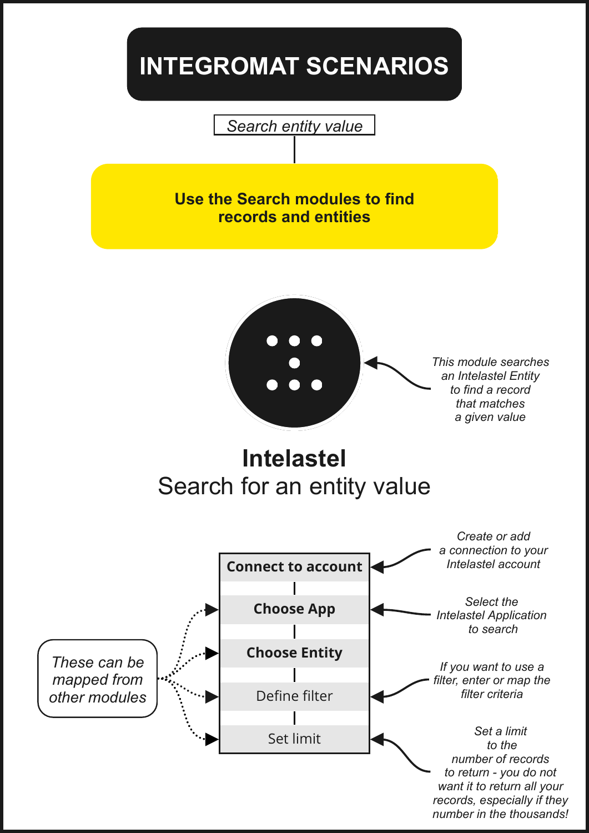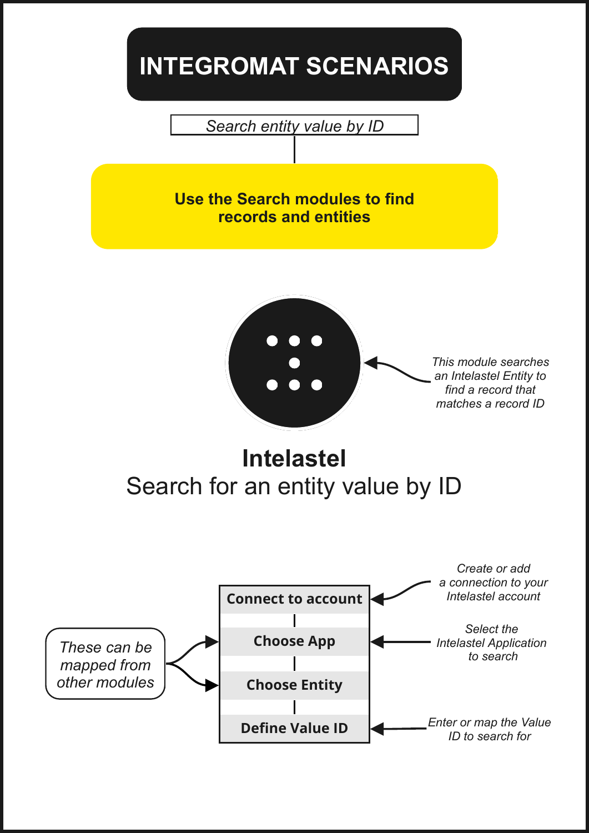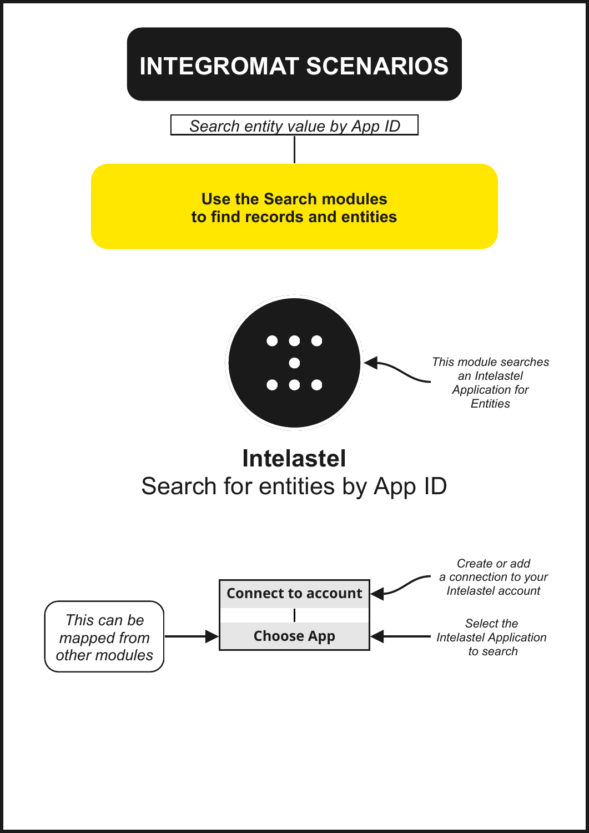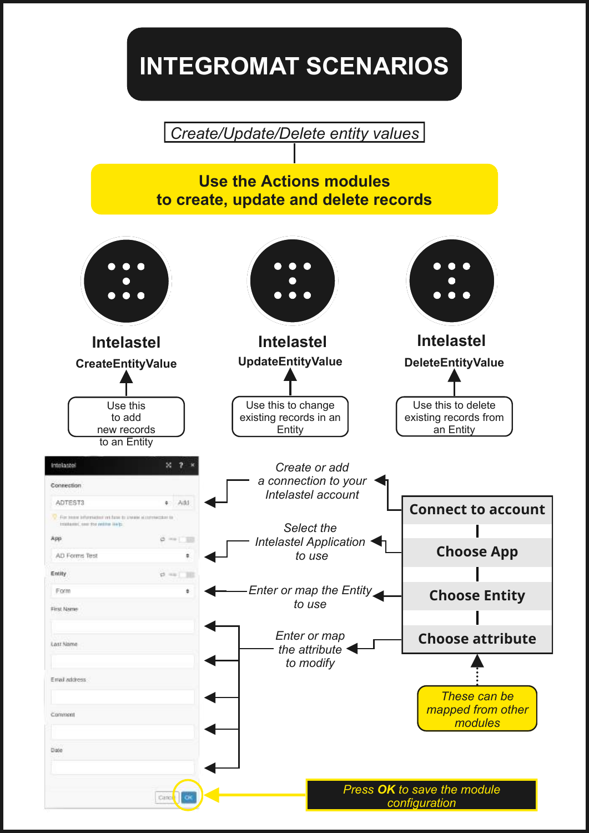*Create/Update/Delete entity values*

#### **Use the Actions modules to create, update and delete records**

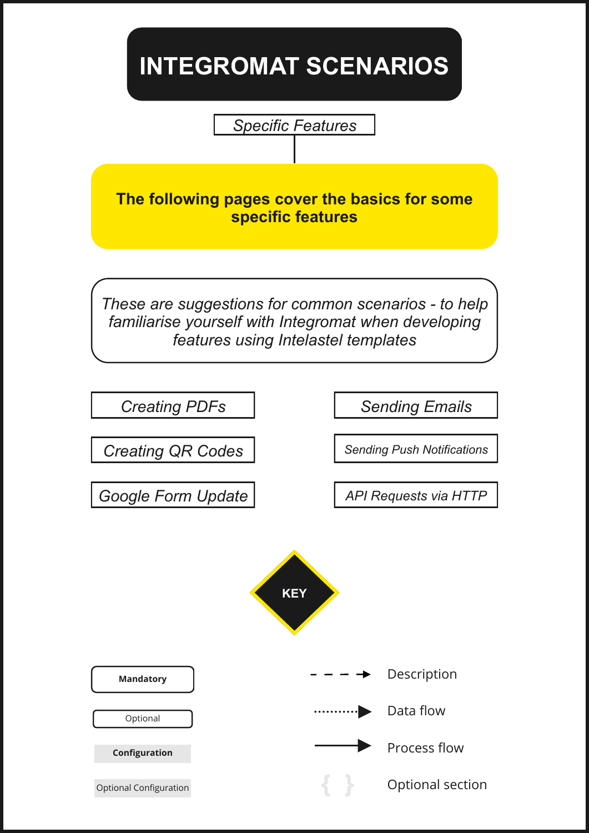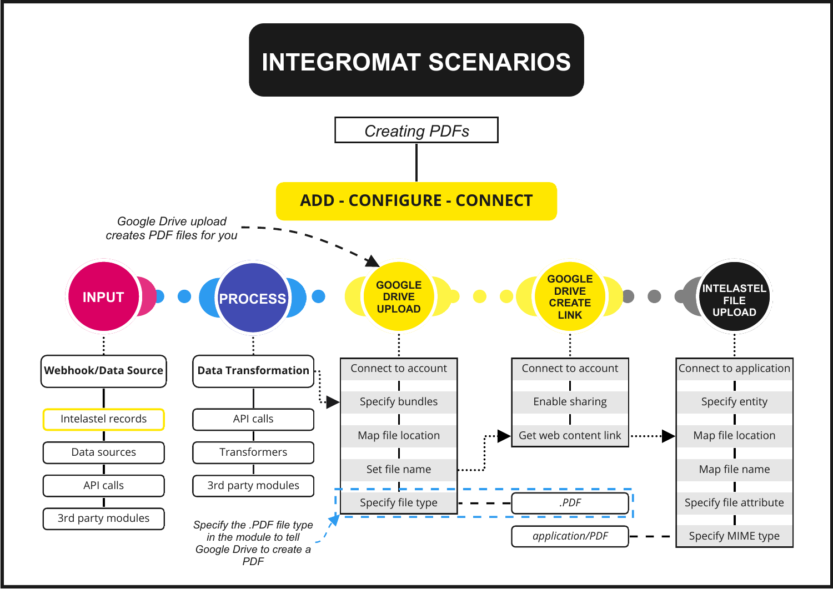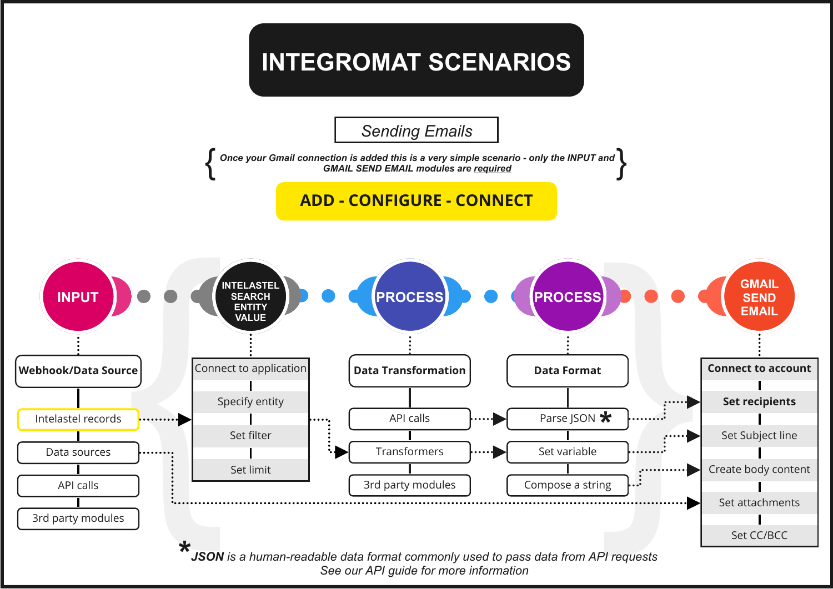*Sending Emails*

*Once your Gmail connection is added this is a very simple scenario - only the INPUT and* Once your Gmail connection is added this is a very simple scenario - only the INPUT and<br>GMAIL SEND EMAIL modules are <u>required</u>

**ADD - CONFIGURE - CONNECT**

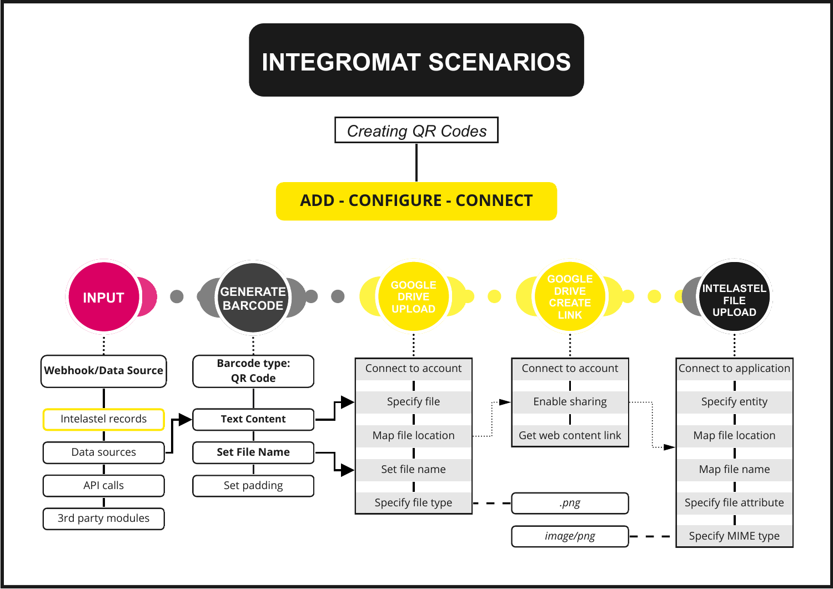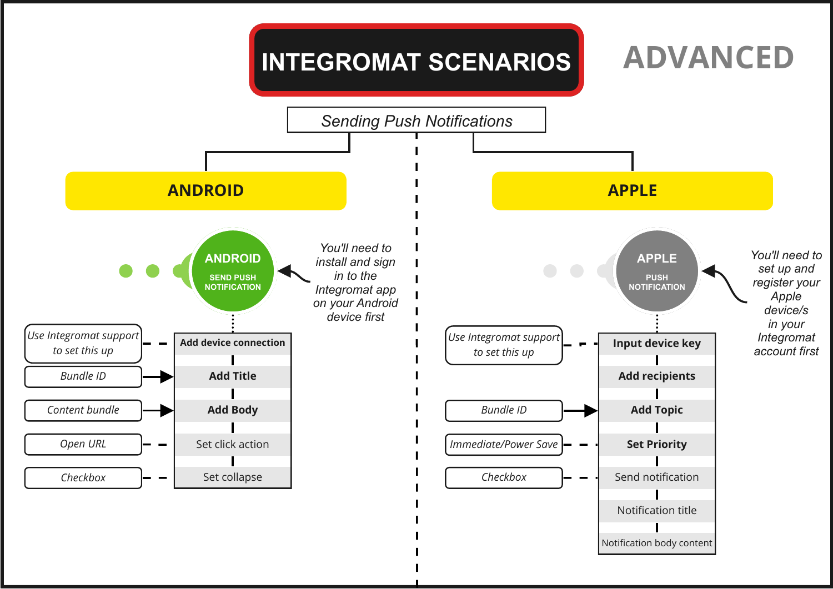#### *Sending Push Notifications* **ANDROID APPLE** *You'll need to You'll need to* **ANDROID APPLE***install and sign set up and* **SEND PUSH** *in to the* **PUSH** *register your* **NOTIFICATION** *Integromat app* **NOTIFICATION** *Apple on your Android device/s device first in your Use Integromat support Use Integromat support Integromat* **Add device connection Input device key** *to set this up to set this up account first Bundle ID* **Add Title Add recipients** *Content bundle* **Add Body** *Bundle ID* **Add Topic** *Immediate/Power Save* **Set Priority** *Open URL* Set click action  $\blacksquare$ *Checkbox* Set collapse *Checkbox* Send notification

Notification title

Notification body content

**ADVANCED**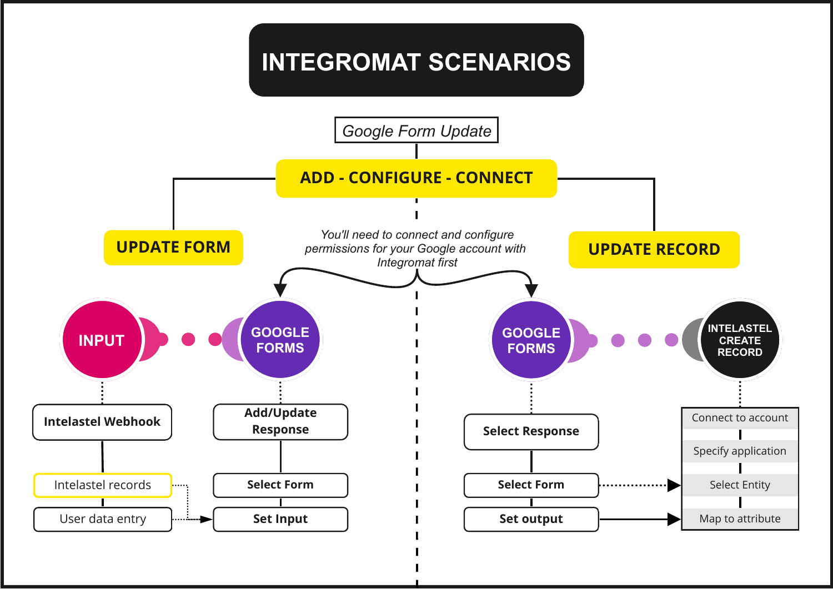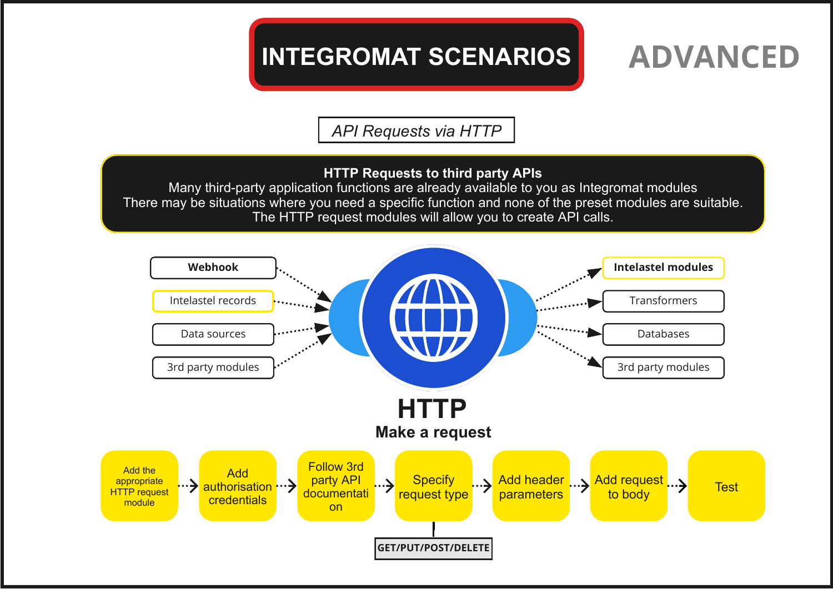## **INTEGROMAT SCENARIOS ADVANCED**

*API Requests via HTTP*

### **HTTP Requests to third party APIs**

Many third-party application functions are already available to you as Integromat modules There may be situations where you need a specific function and none of the preset modules are suitable. The HTTP request modules will allow you to create API calls.